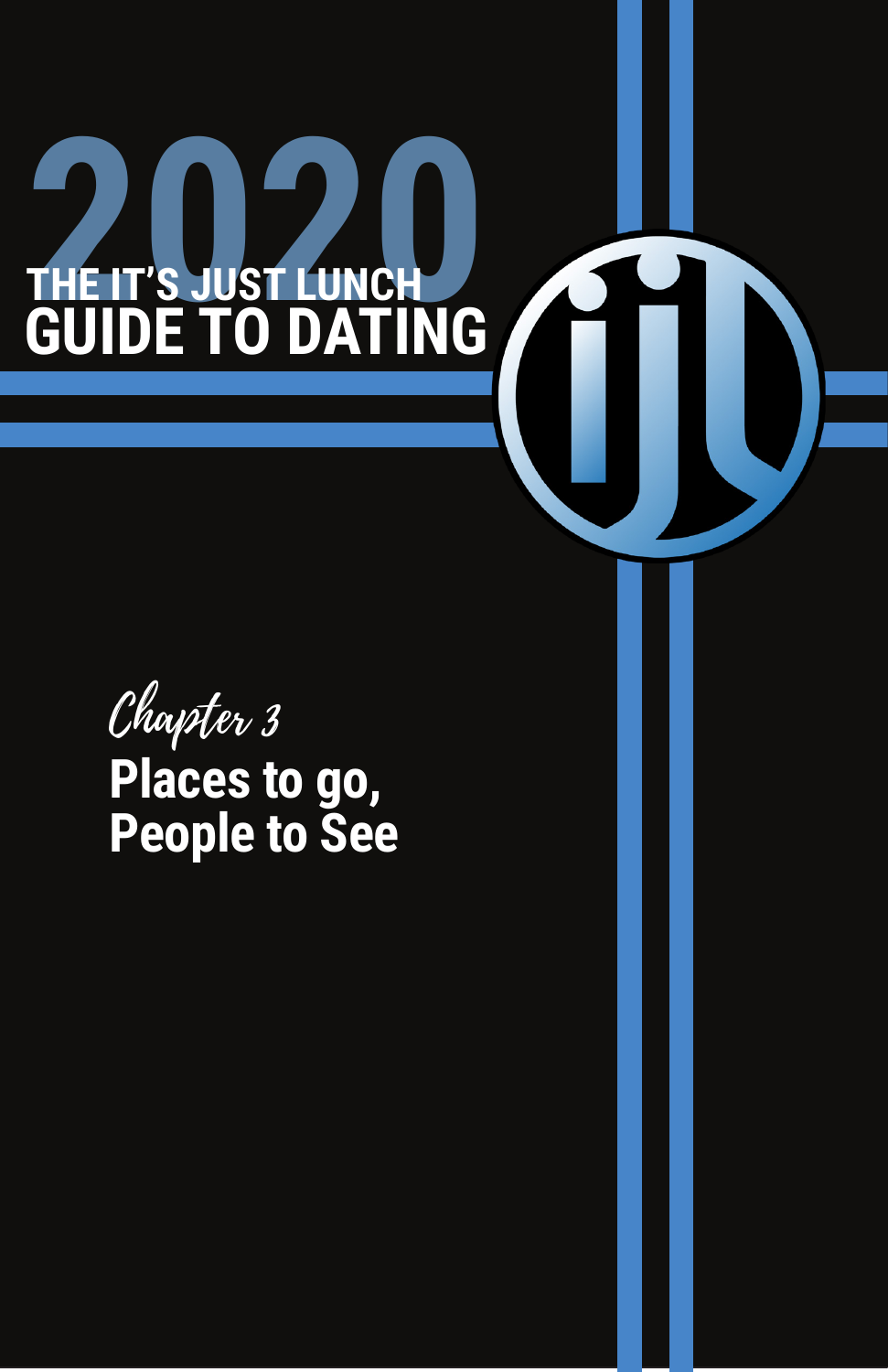#### to explore the relationship. **Singles Events** When most people think of dating, they think of singles events are the singles events of singles events are the and singles bars. To find some in your city, check social media or try and online search of gatherings in your area. You can find you can find your area. You can find you can find **DATING** and clubs. The best approach is to go as a non-member and **2020 CHE IT'S JUST LUNCH CHEATER GUIDE TO**

**Networking Events**

check out the event before committing to a membership.

connect with professionals. Not only do you have the opportunity to meet people and expand your professional

While it isn't smart to date someone where you work, there are plenty of opportunities to meet a mate at work-related events. Most cities have a bevy of options when it comes to places to

network, but you may also expand your social circles. The more  $\omega$  to the greater  $\omega$ of meeting your match! Again, dating is a numbers game and this Chapter 3

is simply and way to meet new  $\blacksquare$ **people to go, where the two-People to See**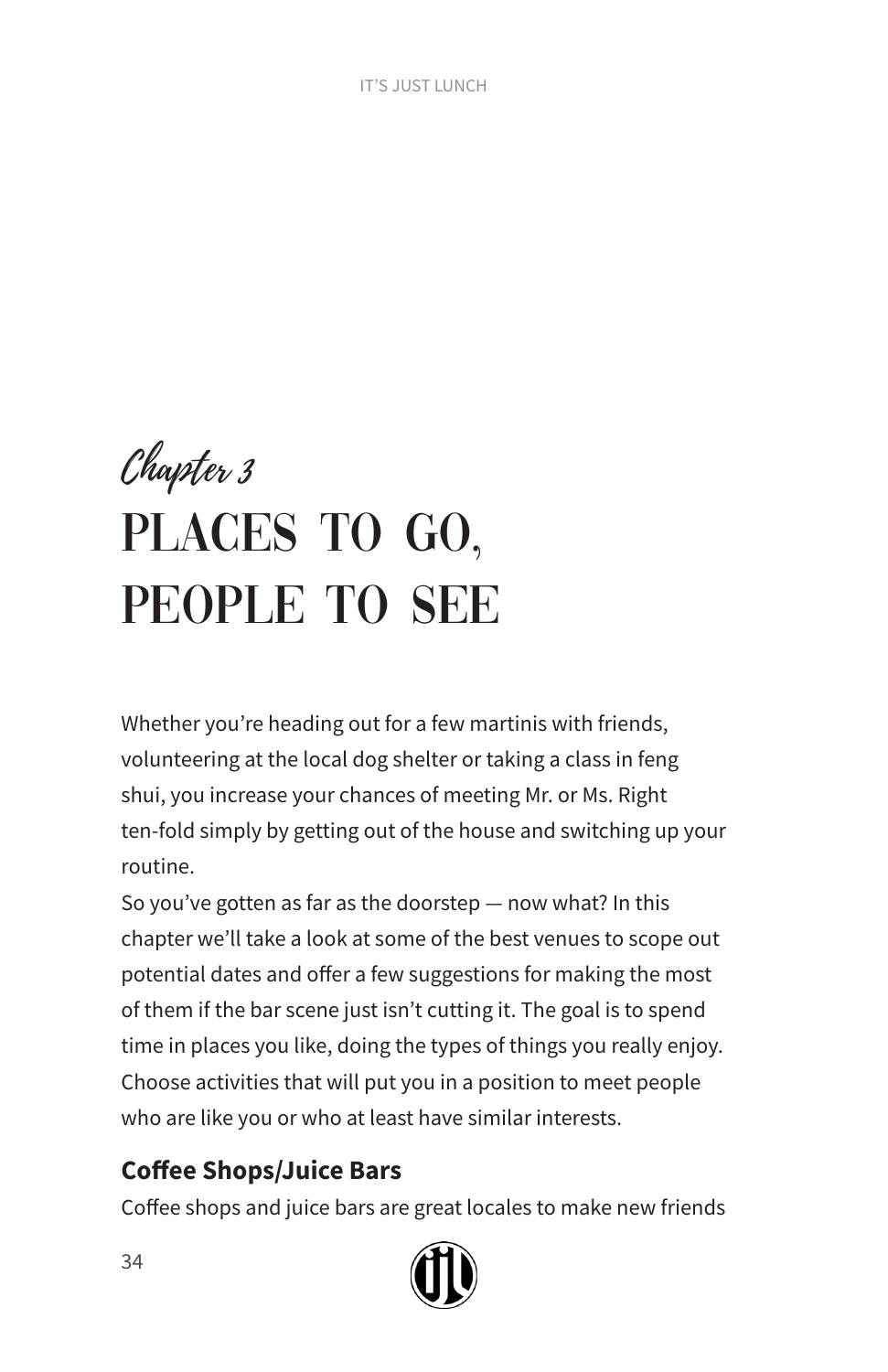# Chapter 3 PLACES TO GO, PEOPLE TO SEE

Whether you're heading out for a few martinis with friends, volunteering at the local dog shelter or taking a class in feng shui, you increase your chances of meeting Mr. or Ms. Right ten-fold simply by getting out of the house and switching up your routine.

So you've gotten as far as the doorstep — now what? In this chapter we'll take a look at some of the best venues to scope out potential dates and offer a few suggestions for making the most of them if the bar scene just isn't cutting it. The goal is to spend time in places you like, doing the types of things you really enjoy. Choose activities that will put you in a position to meet people who are like you or who at least have similar interests.

# **Coffee Shops/Juice Bars**

Coffee shops and juice bars are great locales to make new friends

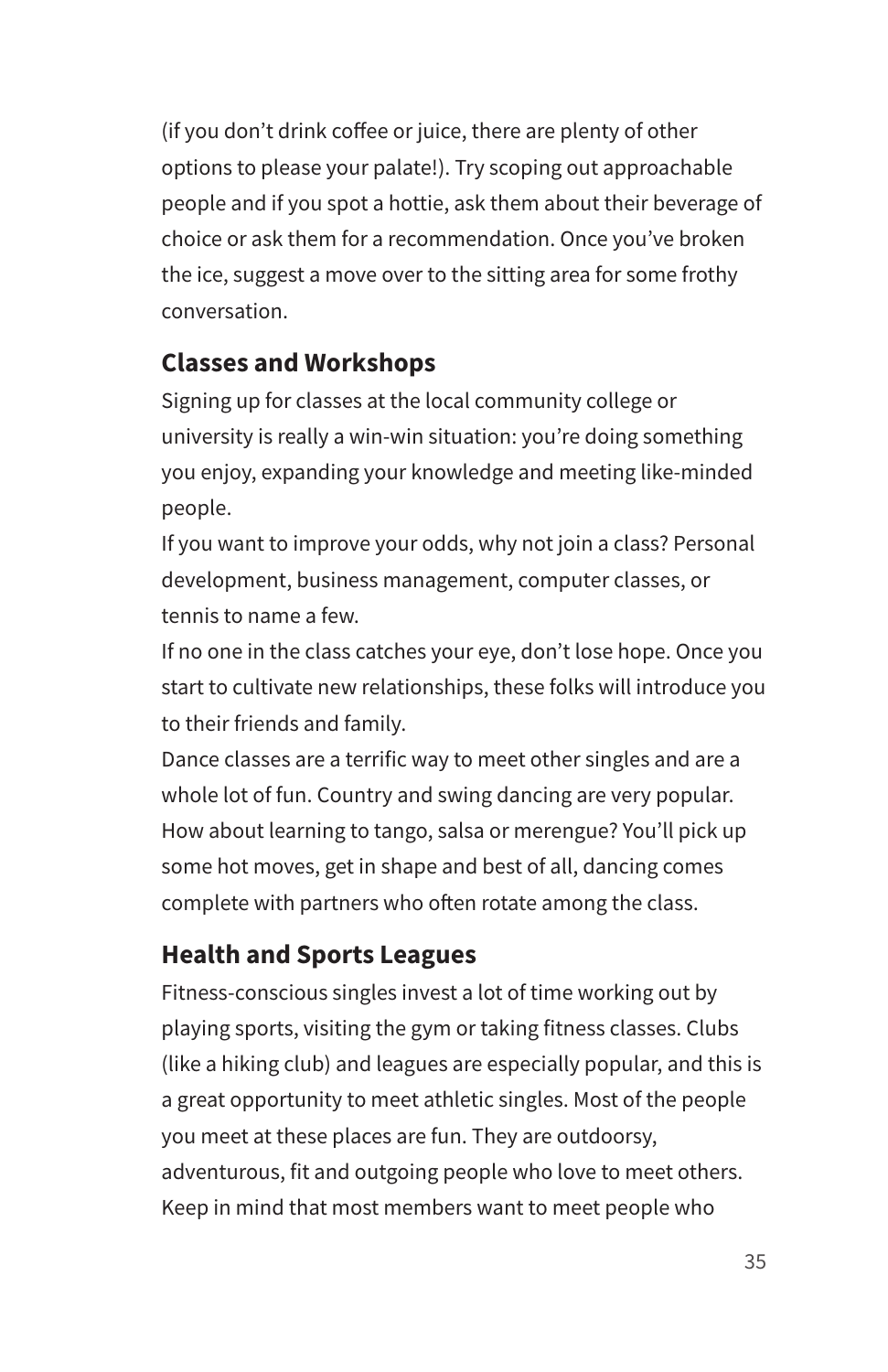(if you don't drink coffee or juice, there are plenty of other options to please your palate!). Try scoping out approachable people and if you spot a hottie, ask them about their beverage of choice or ask them for a recommendation. Once you've broken the ice, suggest a move over to the sitting area for some frothy conversation.

#### **Classes and Workshops**

Signing up for classes at the local community college or university is really a win-win situation: you're doing something you enjoy, expanding your knowledge and meeting like-minded people.

If you want to improve your odds, why not join a class? Personal development, business management, computer classes, or tennis to name a few.

If no one in the class catches your eye, don't lose hope. Once you start to cultivate new relationships, these folks will introduce you to their friends and family.

Dance classes are a terrific way to meet other singles and are a whole lot of fun. Country and swing dancing are very popular. How about learning to tango, salsa or merengue? You'll pick up some hot moves, get in shape and best of all, dancing comes complete with partners who often rotate among the class.

# **Health and Sports Leagues**

Fitness-conscious singles invest a lot of time working out by playing sports, visiting the gym or taking fitness classes. Clubs (like a hiking club) and leagues are especially popular, and this is a great opportunity to meet athletic singles. Most of the people you meet at these places are fun. They are outdoorsy, adventurous, fit and outgoing people who love to meet others. Keep in mind that most members want to meet people who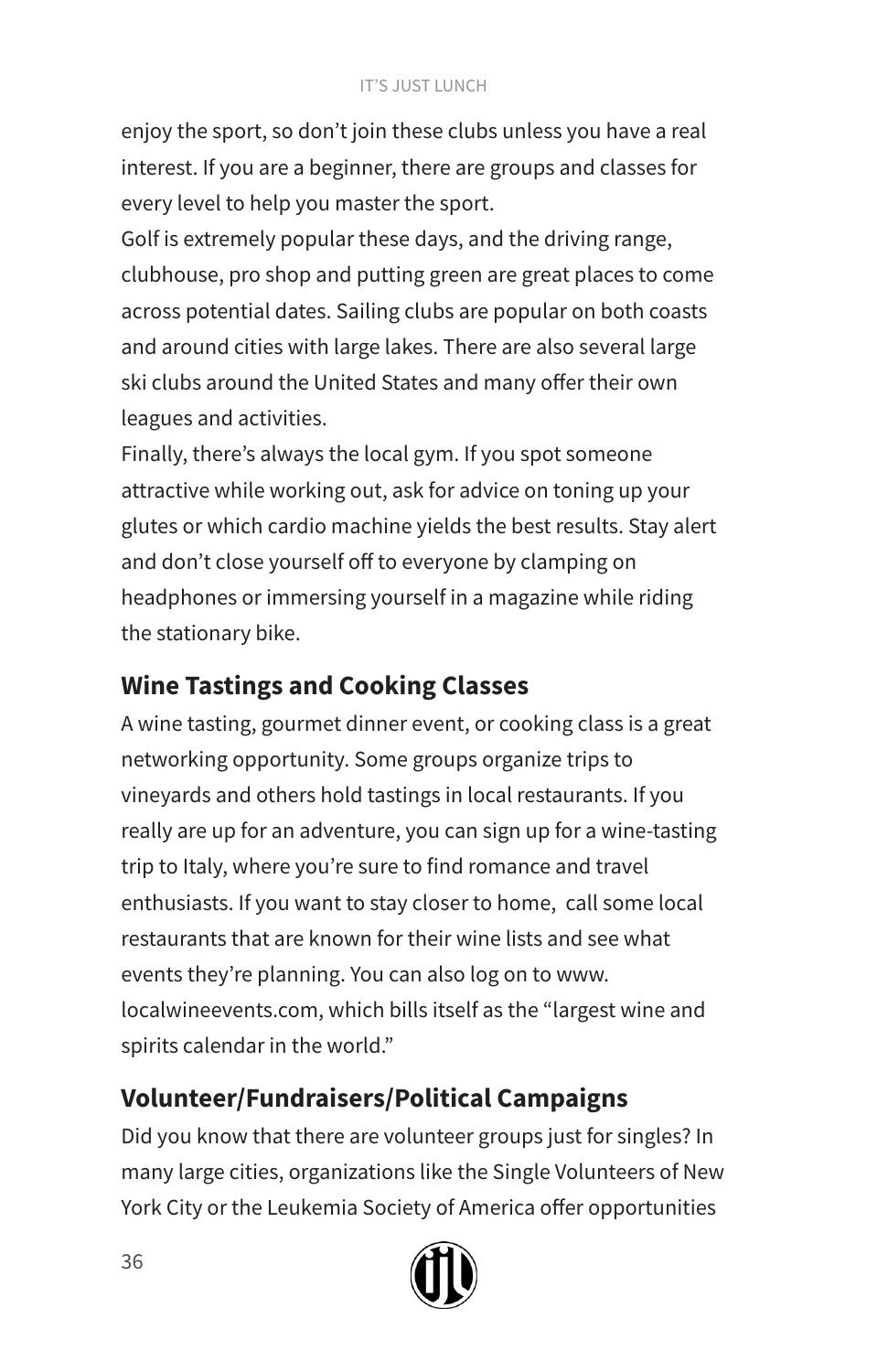#### IT'S JUST LUNCH

enjoy the sport, so don't join these clubs unless you have a real interest. If you are a beginner, there are groups and classes for every level to help you master the sport.

Golf is extremely popular these days, and the driving range, clubhouse, pro shop and putting green are great places to come across potential dates. Sailing clubs are popular on both coasts and around cities with large lakes. There are also several large ski clubs around the United States and many offer their own leagues and activities.

Finally, there's always the local gym. If you spot someone attractive while working out, ask for advice on toning up your glutes or which cardio machine yields the best results. Stay alert and don't close yourself off to everyone by clamping on headphones or immersing yourself in a magazine while riding the stationary bike.

# **Wine Tastings and Cooking Classes**

A wine tasting, gourmet dinner event, or cooking class is a great networking opportunity. Some groups organize trips to vineyards and others hold tastings in local restaurants. If you really are up for an adventure, you can sign up for a wine-tasting trip to Italy, where you're sure to find romance and travel enthusiasts. If you want to stay closer to home, call some local restaurants that are known for their wine lists and see what events they're planning. You can also log on to www. localwineevents.com, which bills itself as the "largest wine and spirits calendar in the world."

# **Volunteer/Fundraisers/Political Campaigns**

Did you know that there are volunteer groups just for singles? In many large cities, organizations like the Single Volunteers of New York City or the Leukemia Society of America offer opportunities

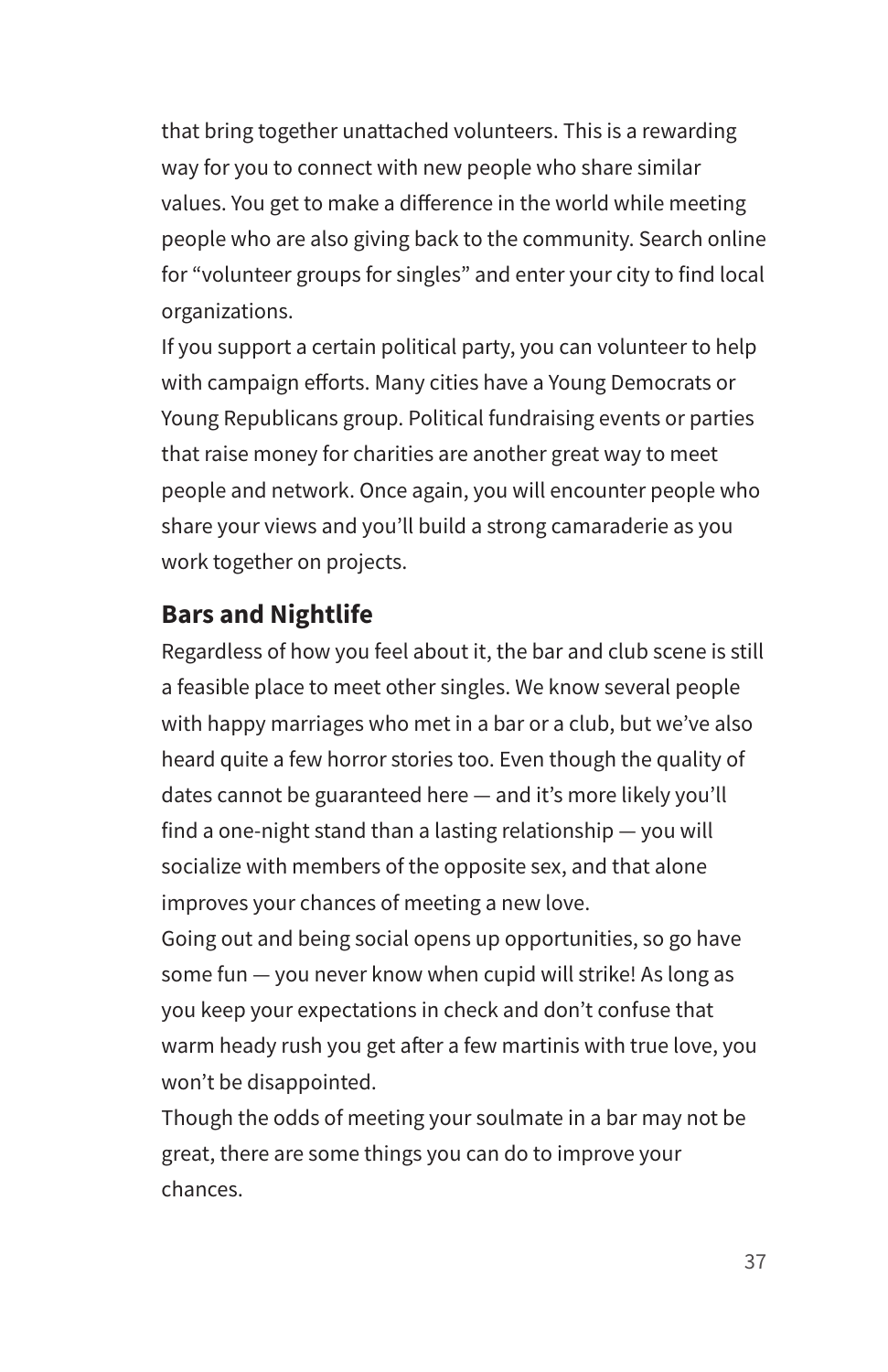that bring together unattached volunteers. This is a rewarding way for you to connect with new people who share similar values. You get to make a difference in the world while meeting people who are also giving back to the community. Search online for "volunteer groups for singles" and enter your city to find local organizations.

If you support a certain political party, you can volunteer to help with campaign efforts. Many cities have a Young Democrats or Young Republicans group. Political fundraising events or parties that raise money for charities are another great way to meet people and network. Once again, you will encounter people who share your views and you'll build a strong camaraderie as you work together on projects.

#### **Bars and Nightlife**

Regardless of how you feel about it, the bar and club scene is still a feasible place to meet other singles. We know several people with happy marriages who met in a bar or a club, but we've also heard quite a few horror stories too. Even though the quality of dates cannot be guaranteed here — and it's more likely you'll find a one-night stand than a lasting relationship — you will socialize with members of the opposite sex, and that alone improves your chances of meeting a new love.

Going out and being social opens up opportunities, so go have some fun — you never know when cupid will strike! As long as you keep your expectations in check and don't confuse that warm heady rush you get after a few martinis with true love, you won't be disappointed.

Though the odds of meeting your soulmate in a bar may not be great, there are some things you can do to improve your chances.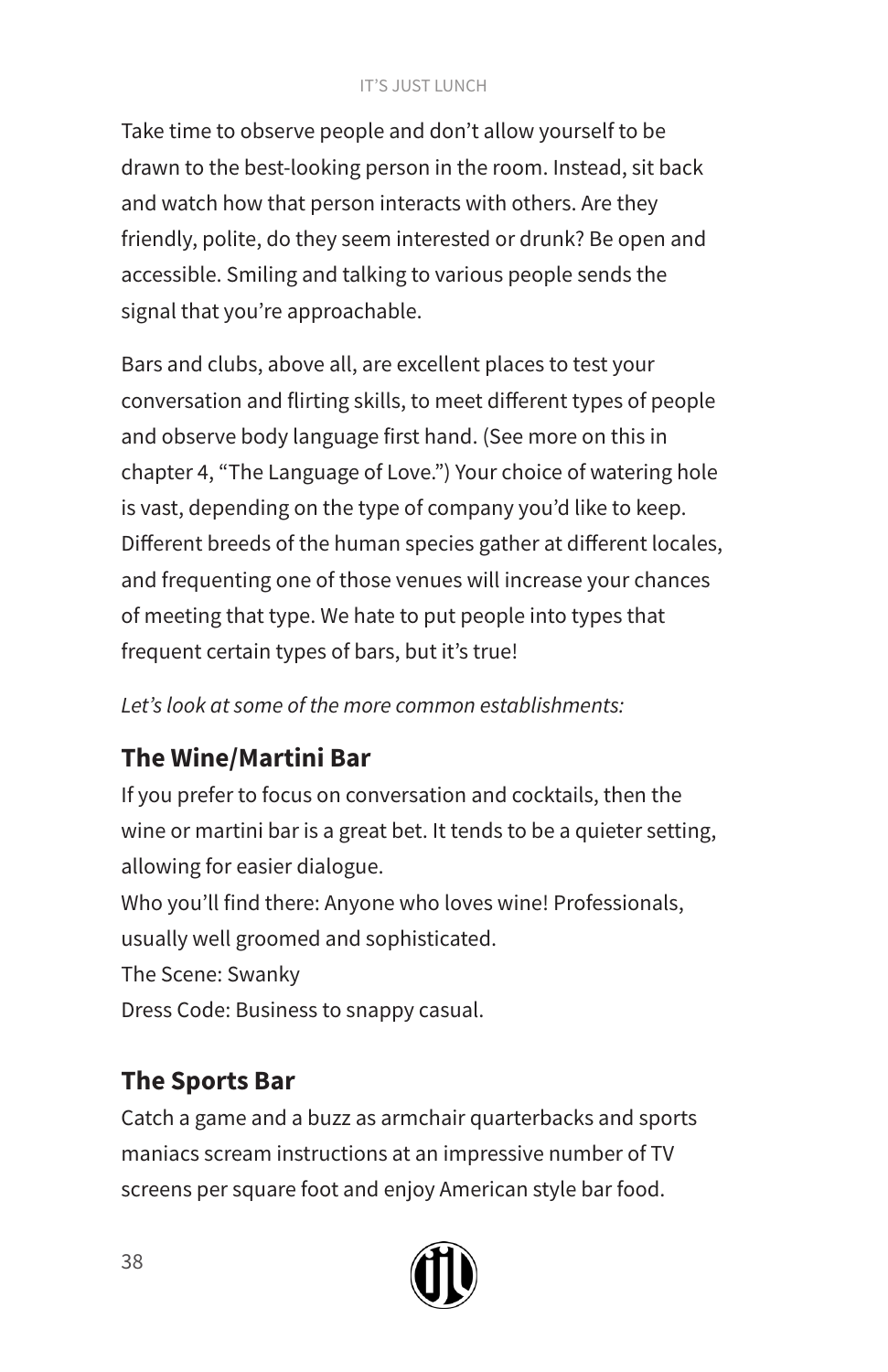#### IT'S JUST LUNCH

Take time to observe people and don't allow yourself to be drawn to the best-looking person in the room. Instead, sit back and watch how that person interacts with others. Are they friendly, polite, do they seem interested or drunk? Be open and accessible. Smiling and talking to various people sends the signal that you're approachable.

Bars and clubs, above all, are excellent places to test your conversation and flirting skills, to meet different types of people and observe body language first hand. (See more on this in chapter 4, "The Language of Love.") Your choice of watering hole is vast, depending on the type of company you'd like to keep. Different breeds of the human species gather at different locales, and frequenting one of those venues will increase your chances of meeting that type. We hate to put people into types that frequent certain types of bars, but it's true!

*Let's look at some of the more common establishments:* 

# **The Wine/Martini Bar**

If you prefer to focus on conversation and cocktails, then the wine or martini bar is a great bet. It tends to be a quieter setting, allowing for easier dialogue.

Who you'll find there: Anyone who loves wine! Professionals, usually well groomed and sophisticated. The Scene: Swanky Dress Code: Business to snappy casual.

# **The Sports Bar**

Catch a game and a buzz as armchair quarterbacks and sports maniacs scream instructions at an impressive number of TV screens per square foot and enjoy American style bar food.